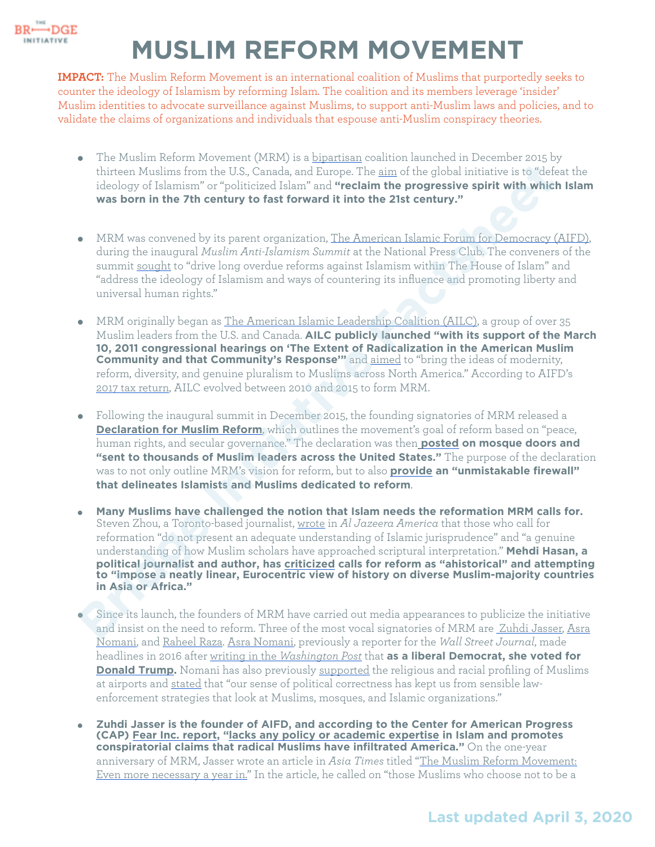

## **MUSLIM REFORM MOVEMENT**

**IMPACT:** The Muslim Reform Movement is an international coalition of Muslims that purportedly seeks to counter the ideology of Islamism by reforming Islam. The coalition and its members leverage 'insider' Muslim identities to advocate surveillance against Muslims, to support anti-Muslim laws and policies, and to validate the claims of organizations and individuals that espouse anti-Muslim conspiracy theories.

- The Muslim Reform Movement (MRM) is a [bipartisan](https://www.youtube.com/watch?v=NOkQ0JTQLXY) coalition launched in December 2015 by thirteen Muslims from the U.S., Canada, and Europe. The aim of the global initiative is to "defeat the ideology of Islamism" or "politicized Islam" and **"reclaim the progressive spirit with which Islam was born in the 7th century to fast forward it into the 21st century."**
- MRM was convened by its parent organization, [The American Islamic Forum for Democracy \(AIFD\),](https://aifdemocracy.org/our-work/about-us/) during the inaugural *Muslim Anti-Islamism Summit* at the National Press Club. The conveners of the summit sought to "drive long overdue reforms against Islamism within The House of Islam" and "address the ideology of Islamism and ways of countering its influence and promoting liberty and universal human rights."
- MRM originally began as The American Islamic Leadership Coalition (AILC), a group of over 35 Muslim leaders from the U.S. and Canada. **AILC publicly launched "with its support of the March 10, 2011 congressional hearings on 'The Extent of Radicalization in the American Muslim Community and that Community's Response'"** and aimed to "bring the ideas of modernity, reform, diversity, and genuine pluralism to Muslims across North America." According to AIFD's 2017 tax return, AILC evolved between 2010 and 2015 to form MRM.
- Following the inaugural summit in December 2015, the founding signatories of MRM released a **Declaration for Muslim Reform**, which outlines the movement's goal of reform based on "peace, human rights, and secular governance." The declaration was then **posted on mosque doors and "sent to thousands of Muslim leaders across the United States."** The purpose of the declaration was to not only outline MRM's vision for reform, but to also **provide an "unmistakable firewall" that delineates Islamists and Muslims dedicated to reform**.
- **Many Muslims have challenged the notion that Islam needs the reformation MRM calls for.**  Steven Zhou, a Toronto-based journalist, wrote in *Al Jazeera America* that those who call for reformation "do not present an adequate understanding of Islamic jurisprudence" and "a genuine understanding of how Muslim scholars have approached scriptural interpretation." **Mehdi Hasan, a political journalist and author, has criticized calls for reform as "ahistorical" and attempting to "impose a neatly linear, Eurocentric view of history on diverse Muslim-majority countries in Asia or Africa."** th[i](https://muslimreformmovement.org/first-page-posts/declaration/)rteen Muslims from the U.S., Canada, and Europe. The sim of the global initiative is to "defect<br>originalization" or "politicized falar" and "recelain" from the progressive spirit with which<br>decloyed falarism" or "polit
- Since its launch, the founders of MRM have carried out media appearances to publicize the initiative and insist on the need to reform. Three of the most vocal signatories of MRM are [Zuhdi Jasser,](https://muslimreformmovement.org/our-founders/m-zuhdi-jasser/) Asra Nomani, and [Raheel Raza](https://muslimreformmovement.org/our-founders/raheel-raza/). [Asra Nomani,](http://bridge.georgetown.edu/factsheet-asra-nomani/) previously a reporter for the *Wall Street Journal*, made headlines in 2016 after [writing in the](https://www.washingtonpost.com/news/global-opinions/wp/2016/11/10/im-a-muslim-a-woman-and-an-immigrant-i-voted-for-trump/) *[Washington Post](https://www.washingtonpost.com/news/global-opinions/wp/2016/11/10/im-a-muslim-a-woman-and-an-immigrant-i-voted-for-trump/)* that **as a liberal Democrat, she voted for [Donald Trump.](https://bridge.georgetown.edu/research/factsheet-donald-trump-as-president-of-the-united-states/)** Nomani has also previously [supported](https://www.npr.org/2010/11/24/131575316/should-airports-use-racial-and-religious-profiling) the religious and racial profiling of Muslims at airports and [stated](https://www.thedailybeast.com/why-nypd-monitoring-should-be-welcome-news-to-us-muslims) that "our sense of political correctness has kept us from sensible lawenforcement strategies that look at Muslims, mosques, and Islamic organizations."
- **Zuhdi Jasser is the founder of AIFD, and according to the Center for American Progress (CAP) [Fear Inc. report,](https://islamophobianetwork.com/echo-chamber/zuhdi-jasser/) ["lacks any policy or academic expertise](http://www.washingtonpost.com/wp-dyn/content/article/2011/02/26/AR2011022600330.html) in Islam and promotes conspiratorial claims that radical Muslims have infiltrated America."** On the one-year anniversary of MRM, Jasser wrote an article in *Asia Times* titled "The Muslim Reform Movement: [Even more necessary a year in." In the article, he called on "those Muslims who choose not to be a](https://asiatimes.com/2016/12/muslim-reform-movement-even-necessary-year/)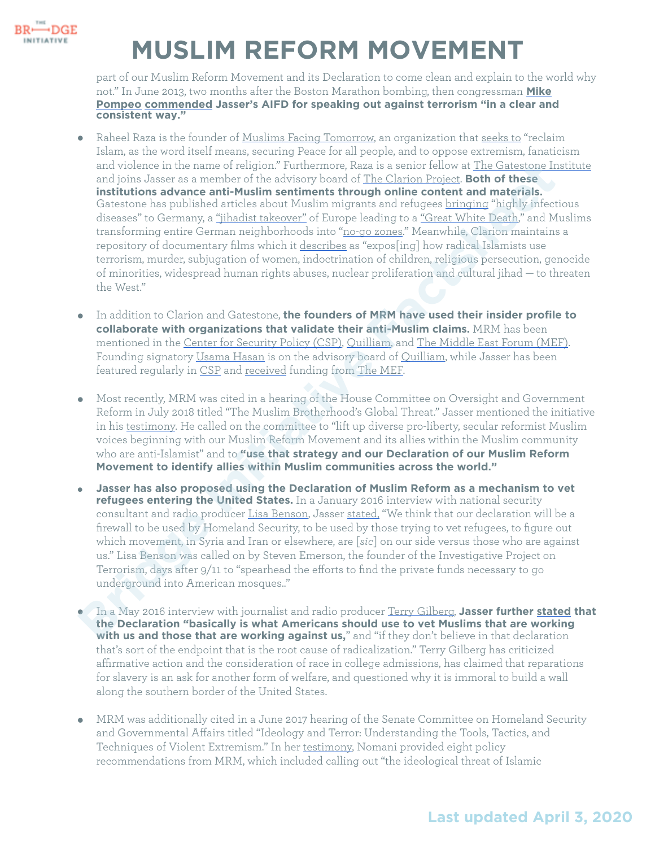

## **MUSLIM REFORM MOVEMENT**

part of our Muslim Reform Movement and its Declaration to come clean and explain to the world why [not." In June 2013, two months after the Boston Marathon bombing, then congressman](https://bridge.georgetown.edu/research/factsheet-mike-pompeo/) **Mike Pompeo [commended](https://www.c-span.org/video/?313224-1/morning-hour) Jasser's AIFD for speaking out against terrorism "in a clear and consistent way."** 

- Raheel Raza is the founder of [Muslims Facing Tomorrow,](https://muslimsfacingtomorrow.com/) an organization that [seeks to](https://muslimsfacingtomorrow.com/) "reclaim Islam, as the word itself means, securing Peace for all people, and to oppose extremism, fanaticism and violence in the name of religion." Furthermore, Raza is a senior fellow at [The Gatestone Institute](http://bridge.georgetown.edu/factsheet-gatestone-institute/) and joins Jasser as a member of the advisory board of The Clarion Project. **Both of these institutions advance anti-Muslim sentiments through online content and materials.**  Gatestone has published articles about Muslim migrants and refugees bringing "highly infectious diseases" to Germany, a <u>"jihadist takeover"</u> of Europe leading to a <u>"Great White Death</u>," and Muslims transforming entire German neighborhoods into "no-go zones." Meanwhile, Clarion maintains a repository of documentary films which it describes as "expos[ing] how radical Islamists use terrorism, murder, subjugation of women, indoctrination of children, religious persecution, genocide of minorities, widespread human rights abuses, nuclear proliferation and cultural jihad — to threaten the West." and viol[e](https://bridge.georgetown.edu/research/factsheet-middle-east-forum/)ine in the name of reignon." [F](https://www.quilliaminternational.com/quilliam-appoints-female-theologian-supports-the-muslim-reform-movement/)urthermore, Reaz is a sender fellom or LIE Giatscope Interaction in the and serves are an ember of the advisory board of The Clarion Prigical: **Boht of these**<br> **Institutions advance a**
- In addition to Clarion and Gatestone, **the founders of MRM have used their insider profile to collaborate with organizations that validate their anti-Muslim claims.** MRM has been mentioned in the Center for Security Policy (CSP), Quilliam, and [The Middle East Forum \(MEF\)](https://www.meforum.org/6617/reformist-muslim-organizations-in-north-america). Founding signatory Usama Hasan is on the advisory board of Quilliam, while Jasser has been featured regularly in CSP and received funding from The MEF.
- Most recently, MRM was cited in a hearing of the House Committee on Oversight and Government Reform in July 2018 titled "The Muslim Brotherhood's Global Threat." Jasser mentioned the initiative in his testimony. He called on the committee to "lift up diverse pro-liberty, secular reformist Muslim voices beginning with our Muslim Reform Movement and its allies within the Muslim community who are anti-Islamist" and to **"use that strategy and our Declaration of our Muslim Reform Movement to identify allies within Muslim communities across the world."**
- **Jasser has also proposed using the Declaration of Muslim Reform as a mechanism to vet refugees entering the United States.** In a January 2016 interview with national security consultant and radio producer Lisa Benson, Jasser stated, "We think that our declaration will be a firewall to be used by Homeland Security, to be used by those trying to vet refugees, to figure out which movement, in Syria and Iran or elsewhere, are [*sic*] on our side versus those who are against us." Lisa Benson was called on by Steven Emerson, the founder of the Investigative Project on Terrorism, days after 9/11 to "spearhead the efforts to find the private funds necessary to go underground into American mosques.."
- In a May 2016 interview with journalist and radio producer Terry Gilberg, **Jasser further [stated](https://www.youtube.com/watch?v=S8YJ8XMeWBY) that the Declaration "basically is what Americans should use to vet Muslims that are working with us and those that are working against us,**" and "if they don't believe in that declaration that's sort of the endpoint that is the root cause of radicalization." Terry Gilberg has [criticized](https://omny.fm/shows/terry-s-take/terrys-take-race-based-admissions) affi[rmative action](https://www.americanprogress.org/issues/race/news/2019/10/01/471085/5-reasons-support-affirmative-action-college-admissions/) and the consideration of race in college admissions, has [claimed](https://omny.fm/shows/terry-s-take/terrys-take-should-we-have-more-reparations-talk?t=57s) that [reparations](https://www.cnn.com/2019/06/18/opinions/reparations-for-slavery-bill-hearing-cohen/index.html) for slavery is an ask for another form of welfare, and [questioned](https://omny.fm/shows/terry-s-take/terrys-take-is-it-immoral-to-build-a-wall) why it is immoral to build a wall along the southern border of the United States.
- MRM was additionally cited in a June 2017 hearing of the Senate Committee on Homeland Security and Governmental Affairs titled "Ideology and Terror: Understanding the Tools, Tactics, and Techniques of Violent Extremism." In her [testimony](https://www.hsgac.senate.gov/hearings/ideology-and-terror-understanding-the-tools-tactics-and-techniques-of-violent-extremism), Nomani provided eight policy recommendations from MRM, which included calling out "the ideological threat of Islamic